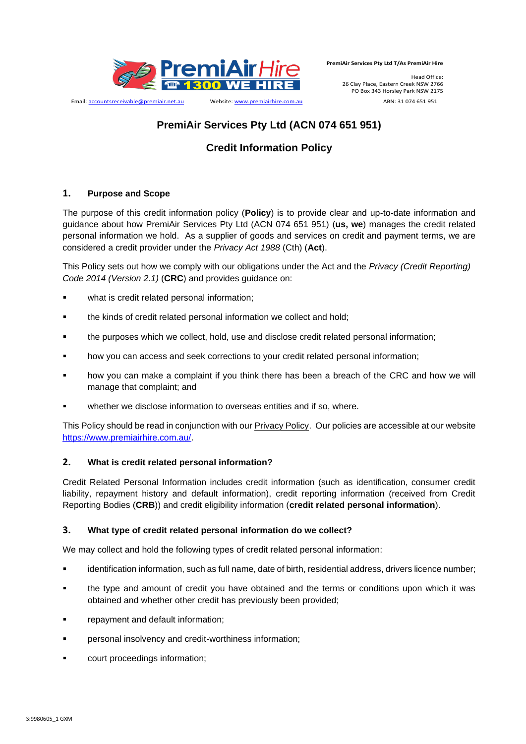

Email: accountsreceivable@premiair.net.au Website: www.premiairhire.com.au ABN: 31 074 651 951

**PremiAir Services Pty Ltd T/As PremiAir Hire**

Head Office: 26 Clay Place, Eastern Creek NSW 2766 PO Box 343 Horsley Park NSW 2175

# **PremiAir Services Pty Ltd (ACN 074 651 951)**

# **Credit Information Policy**

# **1. Purpose and Scope**

The purpose of this credit information policy (**Policy**) is to provide clear and up-to-date information and guidance about how PremiAir Services Pty Ltd (ACN 074 651 951) (**us, we**) manages the credit related personal information we hold. As a supplier of goods and services on credit and payment terms, we are considered a credit provider under the *Privacy Act 1988* (Cth) (**Act**).

This Policy sets out how we comply with our obligations under the Act and the *Privacy (Credit Reporting) Code 2014 (Version 2.1)* (**CRC**) and provides guidance on:

- what is credit related personal information;
- the kinds of credit related personal information we collect and hold:
- the purposes which we collect, hold, use and disclose credit related personal information;
- how you can access and seek corrections to your credit related personal information;
- how you can make a complaint if you think there has been a breach of the CRC and how we will manage that complaint; and
- whether we disclose information to overseas entities and if so, where.

This Policy should be read in conjunction with our Privacy Policy. Our policies are accessible at our website https://www.premiairhire.com.au/.

# **2. What is credit related personal information?**

Credit Related Personal Information includes credit information (such as identification, consumer credit liability, repayment history and default information), credit reporting information (received from Credit Reporting Bodies (**CRB**)) and credit eligibility information (**credit related personal information**).

# **3. What type of credit related personal information do we collect?**

We may collect and hold the following types of credit related personal information:

- **■** identification information, such as full name, date of birth, residential address, drivers licence number;
- the type and amount of credit you have obtained and the terms or conditions upon which it was obtained and whether other credit has previously been provided;
- **•** repayment and default information;
- **•** personal insolvency and credit-worthiness information;
- court proceedings information;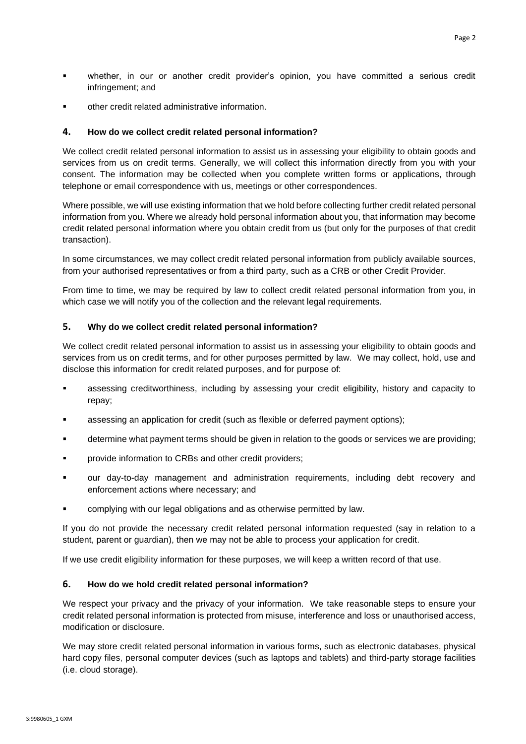- whether, in our or another credit provider's opinion, you have committed a serious credit infringement; and
- other credit related administrative information.

### **4. How do we collect credit related personal information?**

We collect credit related personal information to assist us in assessing your eligibility to obtain goods and services from us on credit terms. Generally, we will collect this information directly from you with your consent. The information may be collected when you complete written forms or applications, through telephone or email correspondence with us, meetings or other correspondences.

Where possible, we will use existing information that we hold before collecting further credit related personal information from you. Where we already hold personal information about you, that information may become credit related personal information where you obtain credit from us (but only for the purposes of that credit transaction).

In some circumstances, we may collect credit related personal information from publicly available sources, from your authorised representatives or from a third party, such as a CRB or other Credit Provider.

From time to time, we may be required by law to collect credit related personal information from you, in which case we will notify you of the collection and the relevant legal requirements.

## **5. Why do we collect credit related personal information?**

We collect credit related personal information to assist us in assessing your eligibility to obtain goods and services from us on credit terms, and for other purposes permitted by law. We may collect, hold, use and disclose this information for credit related purposes, and for purpose of:

- assessing creditworthiness, including by assessing your credit eligibility, history and capacity to repay;
- assessing an application for credit (such as flexible or deferred payment options);
- **EXED** determine what payment terms should be given in relation to the goods or services we are providing;
- **•** provide information to CRBs and other credit providers;
- our day-to-day management and administration requirements, including debt recovery and enforcement actions where necessary; and
- complying with our legal obligations and as otherwise permitted by law.

If you do not provide the necessary credit related personal information requested (say in relation to a student, parent or guardian), then we may not be able to process your application for credit.

If we use credit eligibility information for these purposes, we will keep a written record of that use.

#### **6. How do we hold credit related personal information?**

We respect your privacy and the privacy of your information. We take reasonable steps to ensure your credit related personal information is protected from misuse, interference and loss or unauthorised access, modification or disclosure.

We may store credit related personal information in various forms, such as electronic databases, physical hard copy files, personal computer devices (such as laptops and tablets) and third-party storage facilities (i.e. cloud storage).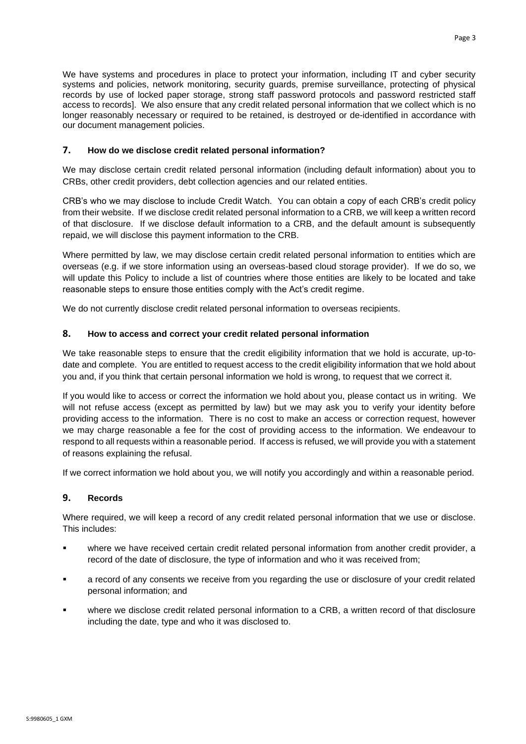We have systems and procedures in place to protect your information, including IT and cyber security systems and policies, network monitoring, security guards, premise surveillance, protecting of physical records by use of locked paper storage, strong staff password protocols and password restricted staff access to records]. We also ensure that any credit related personal information that we collect which is no longer reasonably necessary or required to be retained, is destroyed or de-identified in accordance with our document management policies.

## **7. How do we disclose credit related personal information?**

We may disclose certain credit related personal information (including default information) about you to CRBs, other credit providers, debt collection agencies and our related entities.

CRB's who we may disclose to include Credit Watch. You can obtain a copy of each CRB's credit policy from their website. If we disclose credit related personal information to a CRB, we will keep a written record of that disclosure. If we disclose default information to a CRB, and the default amount is subsequently repaid, we will disclose this payment information to the CRB.

Where permitted by law, we may disclose certain credit related personal information to entities which are overseas (e.g. if we store information using an overseas-based cloud storage provider). If we do so, we will update this Policy to include a list of countries where those entities are likely to be located and take reasonable steps to ensure those entities comply with the Act's credit regime.

We do not currently disclose credit related personal information to overseas recipients.

## **8. How to access and correct your credit related personal information**

We take reasonable steps to ensure that the credit eligibility information that we hold is accurate, up-todate and complete. You are entitled to request access to the credit eligibility information that we hold about you and, if you think that certain personal information we hold is wrong, to request that we correct it.

If you would like to access or correct the information we hold about you, please contact us in writing. We will not refuse access (except as permitted by law) but we may ask you to verify your identity before providing access to the information. There is no cost to make an access or correction request, however we may charge reasonable a fee for the cost of providing access to the information. We endeavour to respond to all requests within a reasonable period. If access is refused, we will provide you with a statement of reasons explaining the refusal.

If we correct information we hold about you, we will notify you accordingly and within a reasonable period.

#### **9. Records**

Where required, we will keep a record of any credit related personal information that we use or disclose. This includes:

- where we have received certain credit related personal information from another credit provider, a record of the date of disclosure, the type of information and who it was received from;
- a record of any consents we receive from you regarding the use or disclosure of your credit related personal information; and
- where we disclose credit related personal information to a CRB, a written record of that disclosure including the date, type and who it was disclosed to.